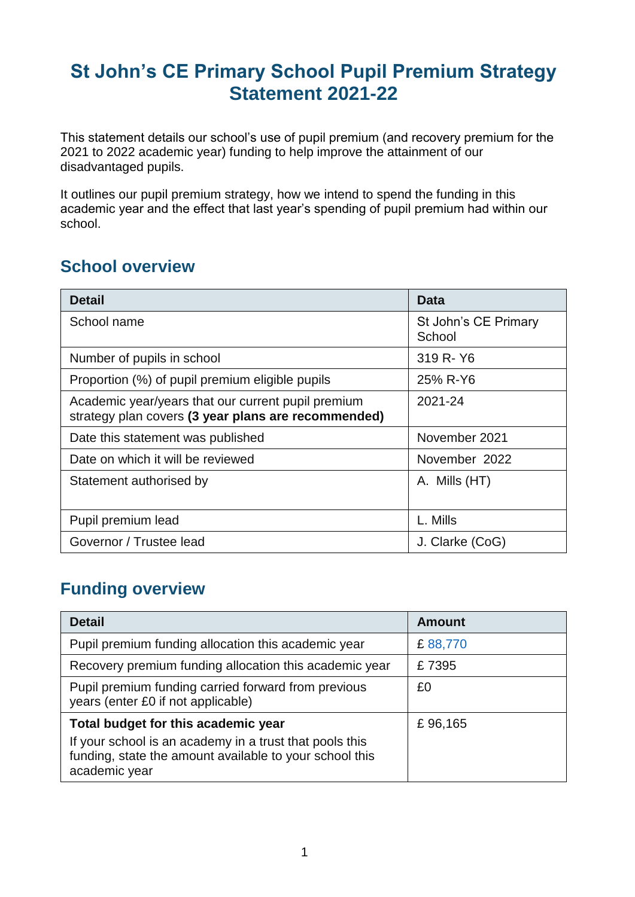## **St John's CE Primary School Pupil Premium Strategy Statement 2021-22**

This statement details our school's use of pupil premium (and recovery premium for the 2021 to 2022 academic year) funding to help improve the attainment of our disadvantaged pupils.

It outlines our pupil premium strategy, how we intend to spend the funding in this academic year and the effect that last year's spending of pupil premium had within our school.

#### **School overview**

| <b>Detail</b>                                                                                             | <b>Data</b>                    |
|-----------------------------------------------------------------------------------------------------------|--------------------------------|
| School name                                                                                               | St John's CE Primary<br>School |
| Number of pupils in school                                                                                | 319 R-Y6                       |
| Proportion (%) of pupil premium eligible pupils                                                           | 25% R-Y6                       |
| Academic year/years that our current pupil premium<br>strategy plan covers (3 year plans are recommended) | 2021-24                        |
| Date this statement was published                                                                         | November 2021                  |
| Date on which it will be reviewed                                                                         | November 2022                  |
| Statement authorised by                                                                                   | A. Mills (HT)                  |
| Pupil premium lead                                                                                        | L. Mills                       |
| Governor / Trustee lead                                                                                   | J. Clarke (CoG)                |

#### **Funding overview**

| <b>Detail</b>                                                                                                                       | <b>Amount</b> |
|-------------------------------------------------------------------------------------------------------------------------------------|---------------|
| Pupil premium funding allocation this academic year                                                                                 | £88,770       |
| Recovery premium funding allocation this academic year                                                                              | £7395         |
| Pupil premium funding carried forward from previous<br>years (enter £0 if not applicable)                                           | £0            |
| Total budget for this academic year                                                                                                 | £96,165       |
| If your school is an academy in a trust that pools this<br>funding, state the amount available to your school this<br>academic year |               |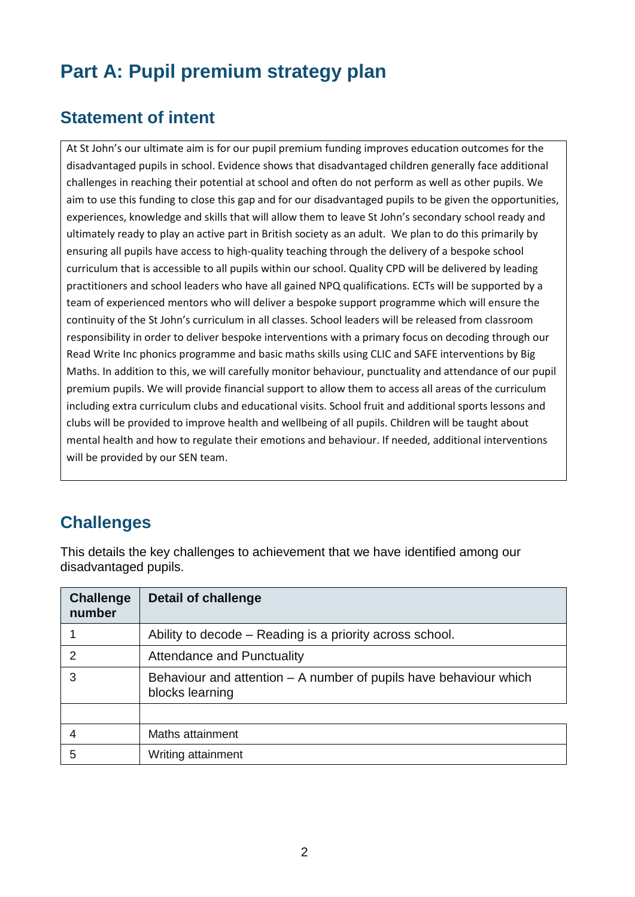# **Part A: Pupil premium strategy plan**

### **Statement of intent**

At St John's our ultimate aim is for our pupil premium funding improves education outcomes for the disadvantaged pupils in school. Evidence shows that disadvantaged children generally face additional challenges in reaching their potential at school and often do not perform as well as other pupils. We aim to use this funding to close this gap and for our disadvantaged pupils to be given the opportunities, experiences, knowledge and skills that will allow them to leave St John's secondary school ready and ultimately ready to play an active part in British society as an adult. We plan to do this primarily by ensuring all pupils have access to high-quality teaching through the delivery of a bespoke school curriculum that is accessible to all pupils within our school. Quality CPD will be delivered by leading practitioners and school leaders who have all gained NPQ qualifications. ECTs will be supported by a team of experienced mentors who will deliver a bespoke support programme which will ensure the continuity of the St John's curriculum in all classes. School leaders will be released from classroom responsibility in order to deliver bespoke interventions with a primary focus on decoding through our Read Write Inc phonics programme and basic maths skills using CLIC and SAFE interventions by Big Maths. In addition to this, we will carefully monitor behaviour, punctuality and attendance of our pupil premium pupils. We will provide financial support to allow them to access all areas of the curriculum including extra curriculum clubs and educational visits. School fruit and additional sports lessons and clubs will be provided to improve health and wellbeing of all pupils. Children will be taught about mental health and how to regulate their emotions and behaviour. If needed, additional interventions will be provided by our SEN team.

## **Challenges**

This details the key challenges to achievement that we have identified among our disadvantaged pupils.

| <b>Challenge</b><br>number | <b>Detail of challenge</b>                                                           |
|----------------------------|--------------------------------------------------------------------------------------|
|                            | Ability to decode – Reading is a priority across school.                             |
| $\mathcal{P}$              | Attendance and Punctuality                                                           |
| 3                          | Behaviour and attention – A number of pupils have behaviour which<br>blocks learning |
|                            |                                                                                      |
|                            | Maths attainment                                                                     |
| 5                          | Writing attainment                                                                   |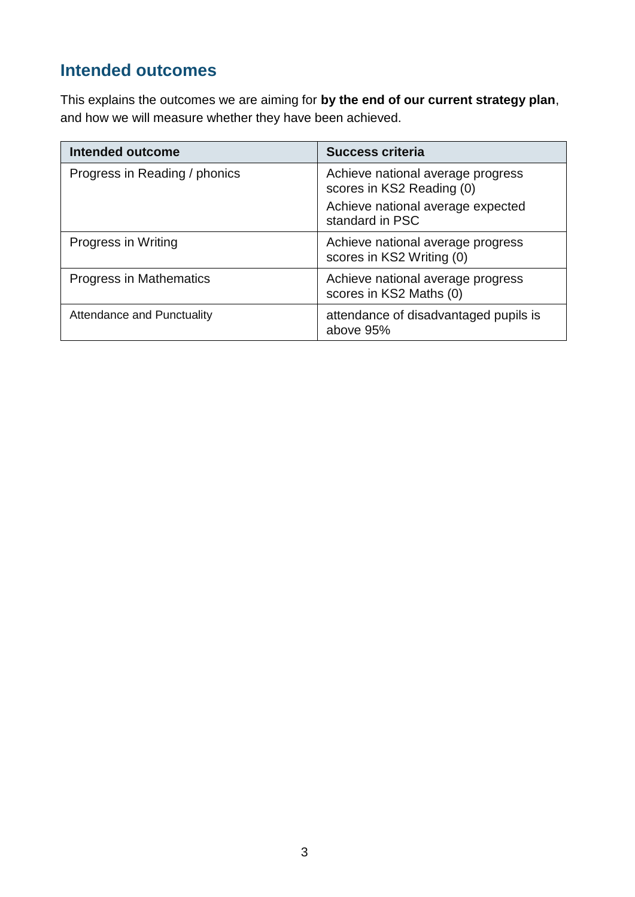## **Intended outcomes**

This explains the outcomes we are aiming for **by the end of our current strategy plan**, and how we will measure whether they have been achieved.

| <b>Intended outcome</b>       | <b>Success criteria</b>                                        |
|-------------------------------|----------------------------------------------------------------|
| Progress in Reading / phonics | Achieve national average progress<br>scores in KS2 Reading (0) |
|                               | Achieve national average expected<br>standard in PSC           |
| Progress in Writing           | Achieve national average progress<br>scores in KS2 Writing (0) |
| Progress in Mathematics       | Achieve national average progress<br>scores in KS2 Maths (0)   |
| Attendance and Punctuality    | attendance of disadvantaged pupils is<br>above 95%             |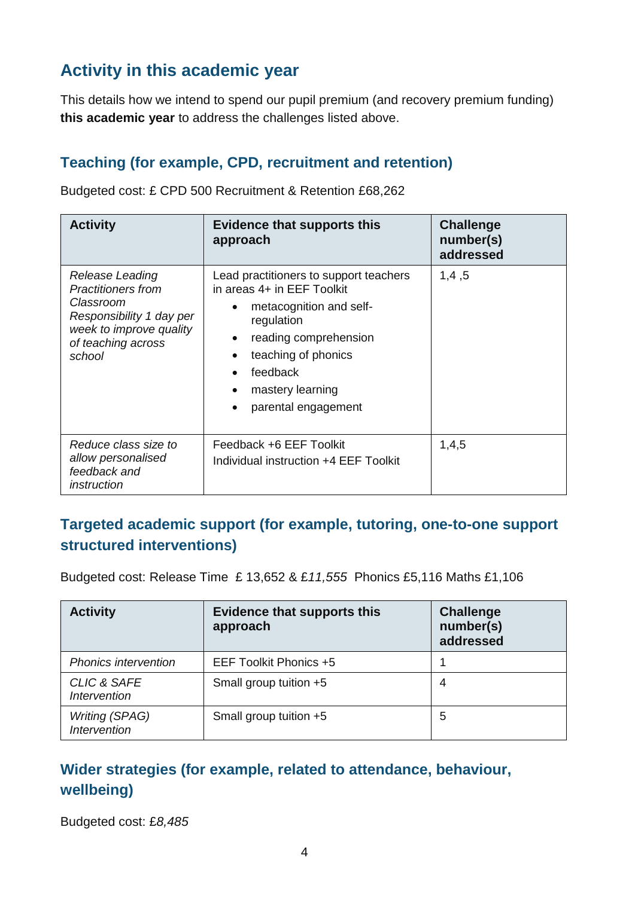### **Activity in this academic year**

This details how we intend to spend our pupil premium (and recovery premium funding) **this academic year** to address the challenges listed above.

#### **Teaching (for example, CPD, recruitment and retention)**

Budgeted cost: £ CPD 500 Recruitment & Retention £68,262

| <b>Activity</b>                                                                                                                                         | <b>Evidence that supports this</b><br>approach                                                                                                                                                                       | <b>Challenge</b><br>number(s)<br>addressed |
|---------------------------------------------------------------------------------------------------------------------------------------------------------|----------------------------------------------------------------------------------------------------------------------------------------------------------------------------------------------------------------------|--------------------------------------------|
| <b>Release Leading</b><br><b>Practitioners from</b><br>Classroom<br>Responsibility 1 day per<br>week to improve quality<br>of teaching across<br>school | Lead practitioners to support teachers<br>in areas 4+ in EEF Toolkit<br>metacognition and self-<br>regulation<br>reading comprehension<br>teaching of phonics<br>feedback<br>mastery learning<br>parental engagement | 1,4,5                                      |
| Reduce class size to<br>allow personalised<br>feedback and<br>instruction                                                                               | Feedback +6 EEF Toolkit<br>Individual instruction +4 EEF Toolkit                                                                                                                                                     | 1,4,5                                      |

#### **Targeted academic support (for example, tutoring, one-to-one support structured interventions)**

Budgeted cost: Release Time £ 13,652 & £*11,555* Phonics £5,116 Maths £1,106

| <b>Activity</b>                                      | <b>Evidence that supports this</b><br>approach | <b>Challenge</b><br>number(s)<br>addressed |
|------------------------------------------------------|------------------------------------------------|--------------------------------------------|
| <b>Phonics intervention</b>                          | EEF Toolkit Phonics +5                         |                                            |
| <b>CLIC &amp; SAFE</b><br><i><b>Intervention</b></i> | Small group tuition +5                         | 4                                          |
| <b>Writing (SPAG)</b><br><b>Intervention</b>         | Small group tuition +5                         | 5                                          |

#### **Wider strategies (for example, related to attendance, behaviour, wellbeing)**

Budgeted cost: £*8,485*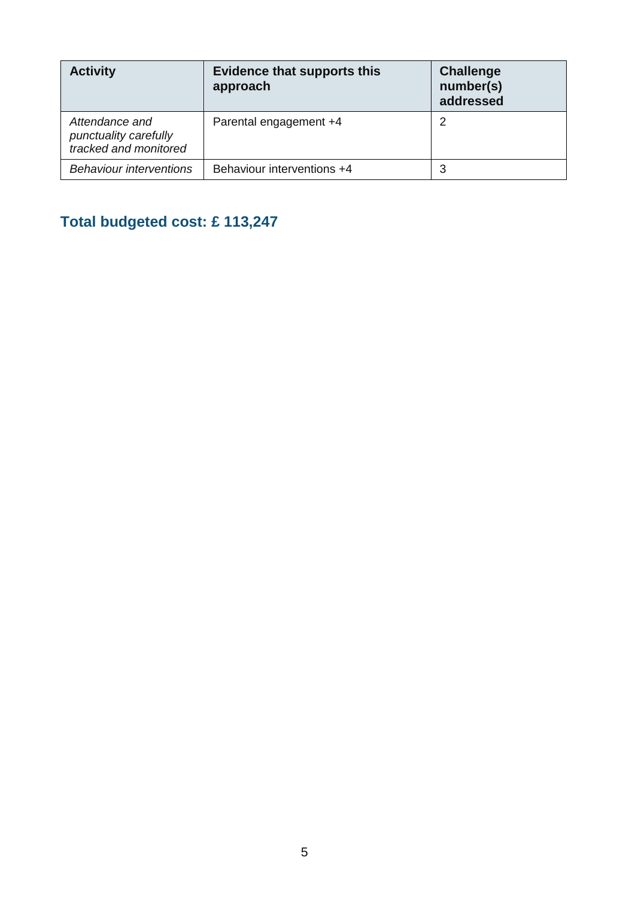| <b>Activity</b>                                                  | <b>Evidence that supports this</b><br>approach | <b>Challenge</b><br>number(s)<br>addressed |
|------------------------------------------------------------------|------------------------------------------------|--------------------------------------------|
| Attendance and<br>punctuality carefully<br>tracked and monitored | Parental engagement +4                         | 2                                          |
| <b>Behaviour interventions</b>                                   | Behaviour interventions +4                     | 3                                          |

## **Total budgeted cost: £ 113,247**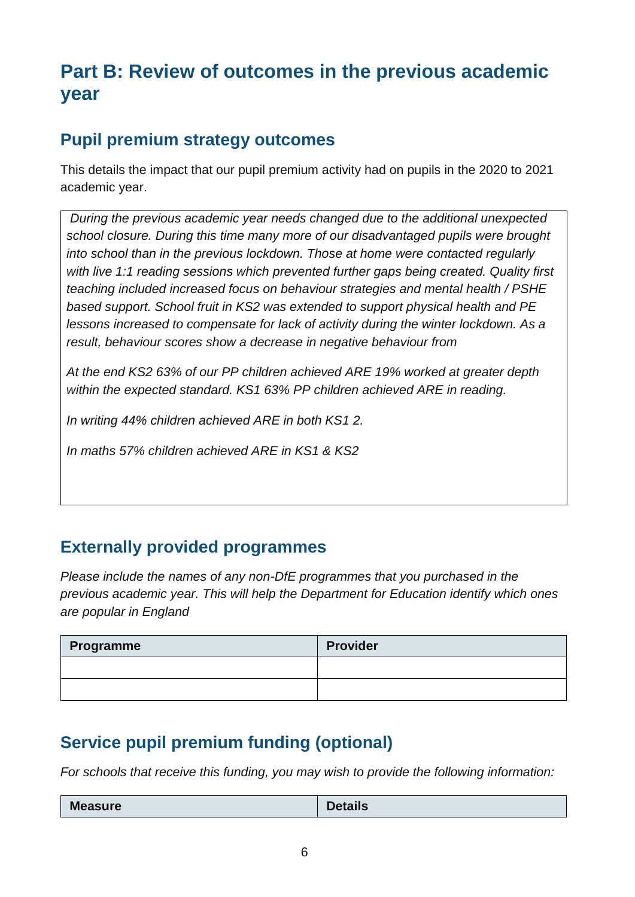## **Part B: Review of outcomes in the previous academic year**

### **Pupil premium strategy outcomes**

This details the impact that our pupil premium activity had on pupils in the 2020 to 2021 academic year.

*During the previous academic year needs changed due to the additional unexpected school closure. During this time many more of our disadvantaged pupils were brought into school than in the previous lockdown. Those at home were contacted regularly with live 1:1 reading sessions which prevented further gaps being created. Quality first teaching included increased focus on behaviour strategies and mental health / PSHE based support. School fruit in KS2 was extended to support physical health and PE lessons increased to compensate for lack of activity during the winter lockdown. As a result, behaviour scores show a decrease in negative behaviour from* 

*At the end KS2 63% of our PP children achieved ARE 19% worked at greater depth within the expected standard. KS1 63% PP children achieved ARE in reading.* 

*In writing 44% children achieved ARE in both KS1 2.* 

*In maths 57% children achieved ARE in KS1 & KS2* 

#### **Externally provided programmes**

*Please include the names of any non-DfE programmes that you purchased in the previous academic year. This will help the Department for Education identify which ones are popular in England*

| Programme | <b>Provider</b> |
|-----------|-----------------|
|           |                 |
|           |                 |

### **Service pupil premium funding (optional)**

*For schools that receive this funding, you may wish to provide the following information:* 

| <b>Measure</b><br><b>Details</b> |
|----------------------------------|
|----------------------------------|